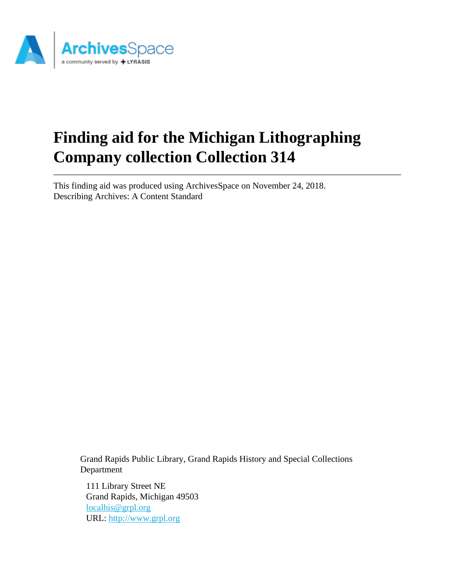

# **Finding aid for the Michigan Lithographing Company collection Collection 314**

This finding aid was produced using ArchivesSpace on November 24, 2018. Describing Archives: A Content Standard

Grand Rapids Public Library, Grand Rapids History and Special Collections Department

111 Library Street NE Grand Rapids, Michigan 49503 [localhis@grpl.org](mailto:localhis@grpl.org) URL:<http://www.grpl.org>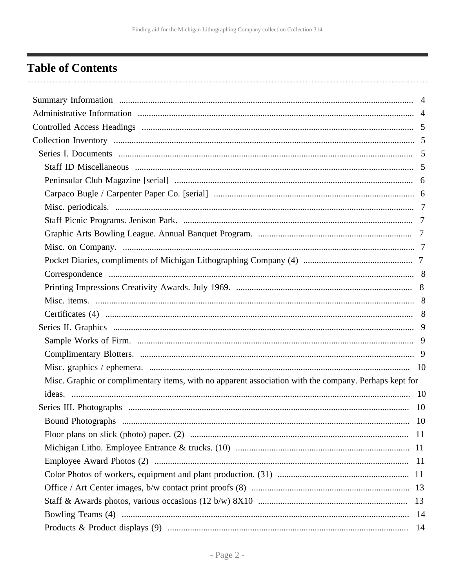## <span id="page-1-0"></span>**Table of Contents**

| Misc. Graphic or complimentary items, with no apparent association with the company. Perhaps kept for |  |
|-------------------------------------------------------------------------------------------------------|--|
|                                                                                                       |  |
|                                                                                                       |  |
|                                                                                                       |  |
|                                                                                                       |  |
|                                                                                                       |  |
|                                                                                                       |  |
|                                                                                                       |  |
|                                                                                                       |  |
|                                                                                                       |  |
|                                                                                                       |  |
|                                                                                                       |  |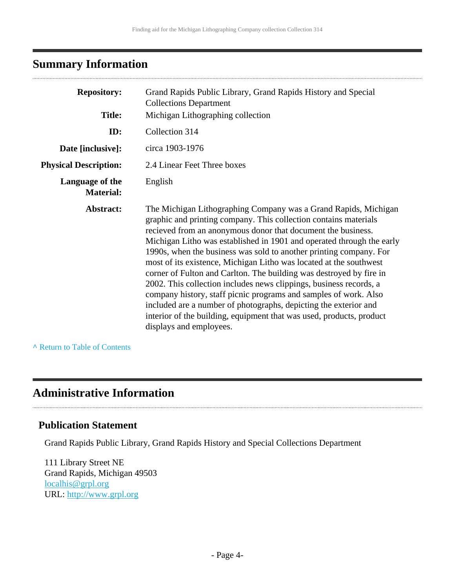## <span id="page-3-0"></span>**Summary Information**

| <b>Repository:</b>                  | Grand Rapids Public Library, Grand Rapids History and Special<br><b>Collections Department</b>                                                                                                                                                                                                                                                                                                                                                                                                                                                                                                                                                                                                                                                                                                                   |
|-------------------------------------|------------------------------------------------------------------------------------------------------------------------------------------------------------------------------------------------------------------------------------------------------------------------------------------------------------------------------------------------------------------------------------------------------------------------------------------------------------------------------------------------------------------------------------------------------------------------------------------------------------------------------------------------------------------------------------------------------------------------------------------------------------------------------------------------------------------|
| <b>Title:</b>                       | Michigan Lithographing collection                                                                                                                                                                                                                                                                                                                                                                                                                                                                                                                                                                                                                                                                                                                                                                                |
| ID:                                 | Collection 314                                                                                                                                                                                                                                                                                                                                                                                                                                                                                                                                                                                                                                                                                                                                                                                                   |
| Date [inclusive]:                   | circa 1903-1976                                                                                                                                                                                                                                                                                                                                                                                                                                                                                                                                                                                                                                                                                                                                                                                                  |
| <b>Physical Description:</b>        | 2.4 Linear Feet Three boxes                                                                                                                                                                                                                                                                                                                                                                                                                                                                                                                                                                                                                                                                                                                                                                                      |
| Language of the<br><b>Material:</b> | English                                                                                                                                                                                                                                                                                                                                                                                                                                                                                                                                                                                                                                                                                                                                                                                                          |
| Abstract:                           | The Michigan Lithographing Company was a Grand Rapids, Michigan<br>graphic and printing company. This collection contains materials<br>recieved from an anonymous donor that document the business.<br>Michigan Litho was established in 1901 and operated through the early<br>1990s, when the business was sold to another printing company. For<br>most of its existence, Michigan Litho was located at the southwest<br>corner of Fulton and Carlton. The building was destroyed by fire in<br>2002. This collection includes news clippings, business records, a<br>company history, staff picnic programs and samples of work. Also<br>included are a number of photographs, depicting the exterior and<br>interior of the building, equipment that was used, products, product<br>displays and employees. |

**^** [Return to Table of Contents](#page-1-0)

## <span id="page-3-1"></span>**Administrative Information**

### **Publication Statement**

Grand Rapids Public Library, Grand Rapids History and Special Collections Department

111 Library Street NE Grand Rapids, Michigan 49503 [localhis@grpl.org](mailto:localhis@grpl.org) URL:<http://www.grpl.org>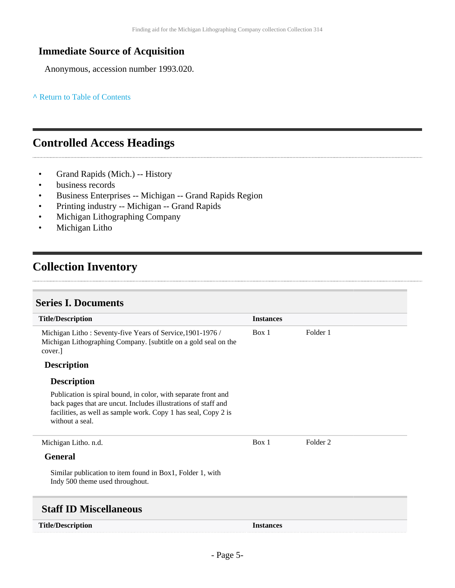## **Immediate Source of Acquisition**

Anonymous, accession number 1993.020.

#### **^** [Return to Table of Contents](#page-1-0)

## <span id="page-4-0"></span>**Controlled Access Headings**

- Grand Rapids (Mich.) -- History
- business records
- Business Enterprises -- Michigan -- Grand Rapids Region
- Printing industry -- Michigan -- Grand Rapids
- Michigan Lithographing Company
- Michigan Litho

## <span id="page-4-1"></span>**Collection Inventory**

#### <span id="page-4-2"></span>**Series I. Documents**

<span id="page-4-3"></span>

| <b>Title/Description</b>                                                                                                                                                                                              | <b>Instances</b> |                     |
|-----------------------------------------------------------------------------------------------------------------------------------------------------------------------------------------------------------------------|------------------|---------------------|
| Michigan Litho: Seventy-five Years of Service, 1901-1976 /<br>Michigan Lithographing Company. [subtitle on a gold seal on the<br>cover.                                                                               | Box 1            | Folder 1            |
| <b>Description</b>                                                                                                                                                                                                    |                  |                     |
| <b>Description</b>                                                                                                                                                                                                    |                  |                     |
| Publication is spiral bound, in color, with separate front and<br>back pages that are uncut. Includes illustrations of staff and<br>facilities, as well as sample work. Copy 1 has seal, Copy 2 is<br>without a seal. |                  |                     |
| Michigan Litho. n.d.                                                                                                                                                                                                  | Box 1            | Folder <sub>2</sub> |
| <b>General</b>                                                                                                                                                                                                        |                  |                     |
| Similar publication to item found in Box1, Folder 1, with<br>Indy 500 theme used throughout.                                                                                                                          |                  |                     |
| <b>Staff ID Miscellaneous</b>                                                                                                                                                                                         |                  |                     |
| <b>Title/Description</b>                                                                                                                                                                                              | <b>Instances</b> |                     |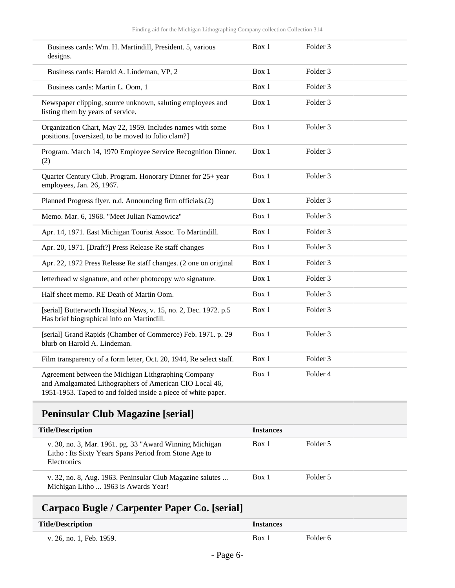| Business cards: Wm. H. Martindill, President. 5, various<br>designs.                                             | Box 1 | Folder <sub>3</sub> |  |
|------------------------------------------------------------------------------------------------------------------|-------|---------------------|--|
| Business cards: Harold A. Lindeman, VP, 2                                                                        | Box 1 | Folder <sub>3</sub> |  |
| Business cards: Martin L. Oom, 1                                                                                 | Box 1 | Folder 3            |  |
| Newspaper clipping, source unknown, saluting employees and<br>listing them by years of service.                  | Box 1 | Folder <sub>3</sub> |  |
| Organization Chart, May 22, 1959. Includes names with some<br>positions. [oversized, to be moved to folio clam?] | Box 1 | Folder <sub>3</sub> |  |
| Program. March 14, 1970 Employee Service Recognition Dinner.<br>(2)                                              | Box 1 | Folder 3            |  |
| Quarter Century Club. Program. Honorary Dinner for 25+ year<br>employees, Jan. 26, 1967.                         | Box 1 | Folder 3            |  |
| Planned Progress flyer. n.d. Announcing firm officials.(2)                                                       | Box 1 | Folder <sub>3</sub> |  |
| Memo. Mar. 6, 1968. "Meet Julian Namowicz"                                                                       | Box 1 | Folder 3            |  |
| Apr. 14, 1971. East Michigan Tourist Assoc. To Martindill.                                                       | Box 1 | Folder <sub>3</sub> |  |
| Apr. 20, 1971. [Draft?] Press Release Re staff changes                                                           | Box 1 | Folder <sub>3</sub> |  |
| Apr. 22, 1972 Press Release Re staff changes. (2 one on original                                                 | Box 1 | Folder <sub>3</sub> |  |
| letterhead w signature, and other photocopy w/o signature.                                                       | Box 1 | Folder <sub>3</sub> |  |
| Half sheet memo. RE Death of Martin Oom.                                                                         | Box 1 | Folder <sub>3</sub> |  |
| [serial] Butterworth Hospital News, v. 15, no. 2, Dec. 1972. p.5<br>Has brief biographical info on Martindill.   | Box 1 | Folder <sub>3</sub> |  |
| [serial] Grand Rapids (Chamber of Commerce) Feb. 1971. p. 29<br>blurb on Harold A. Lindeman.                     | Box 1 | Folder <sub>3</sub> |  |
| Film transparency of a form letter, Oct. 20, 1944, Re select staff.                                              | Box 1 | Folder 3            |  |
| Agreement between the Michigan Lithgraphing Company<br>and Amalgamated Lithographers of American CIO Local 46,   | Box 1 | Folder 4            |  |

1951-1953. Taped to and folded inside a piece of white paper.

## <span id="page-5-0"></span>**Peninsular Club Magazine [serial]**

| <b>Title/Description</b>                                                                                                        | <b>Instances</b> |          |
|---------------------------------------------------------------------------------------------------------------------------------|------------------|----------|
| v. 30, no. 3, Mar. 1961. pg. 33 "Award Winning Michigan<br>Litho: Its Sixty Years Spans Period from Stone Age to<br>Electronics | Box 1            | Folder 5 |
| v. 32, no. 8, Aug. 1963. Peninsular Club Magazine salutes<br>Michigan Litho  1963 is Awards Year!                               | Box 1            | Folder 5 |

## <span id="page-5-1"></span>**Carpaco Bugle / Carpenter Paper Co. [serial]**

| <b>Title/Description</b> | <i><u><b>Instances</b></u></i> |          |
|--------------------------|--------------------------------|----------|
| v. 26, no. 1, Feb. 1959. | Box 1                          | Folder 6 |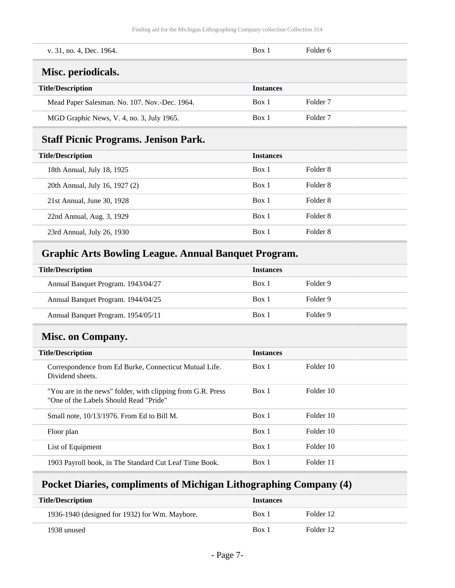<span id="page-6-0"></span>

| v. 31, no. 4, Dec. 1964.                      | Box 1            | Folder 6            |
|-----------------------------------------------|------------------|---------------------|
| Misc. periodicals.                            |                  |                     |
| <b>Title/Description</b>                      | <b>Instances</b> |                     |
| Mead Paper Salesman. No. 107. Nov.-Dec. 1964. | Box 1            | Folder <sub>7</sub> |
| MGD Graphic News, V. 4, no. 3, July 1965.     | Box 1            | Folder <sub>7</sub> |
|                                               |                  |                     |

## <span id="page-6-1"></span>**Staff Picnic Programs. Jenison Park.**

| <b>Title/Description</b>       | <b>Instances</b> |          |
|--------------------------------|------------------|----------|
| 18th Annual, July 18, 1925     | Box 1            | Folder 8 |
| 20th Annual, July 16, 1927 (2) | Box 1            | Folder 8 |
| 21st Annual, June 30, 1928     | Box 1            | Folder 8 |
| 22nd Annual, Aug. 3, 1929      | Box 1            | Folder 8 |
| 23rd Annual, July 26, 1930     | Box 1            | Folder 8 |

## <span id="page-6-2"></span>**Graphic Arts Bowling League. Annual Banquet Program.**

| <b>Title/Description</b>           | <b>Instances</b> |          |
|------------------------------------|------------------|----------|
| Annual Banquet Program. 1943/04/27 | Box 1            | Folder 9 |
| Annual Banquet Program. 1944/04/25 | Box 1            | Folder 9 |
| Annual Banquet Program. 1954/05/11 | Box 1            | Folder 9 |

## <span id="page-6-3"></span>**Misc. on Company.**

| <b>Title/Description</b>                                                                              | <b>Instances</b> |           |
|-------------------------------------------------------------------------------------------------------|------------------|-----------|
| Correspondence from Ed Burke, Connecticut Mutual Life.<br>Dividend sheets.                            | Box 1            | Folder 10 |
| "You are in the news" folder, with clipping from G.R. Press<br>"One of the Labels Should Read "Pride" | Box 1            | Folder 10 |
| Small note, 10/13/1976. From Ed to Bill M.                                                            | Box 1            | Folder 10 |
| Floor plan                                                                                            | Box 1            | Folder 10 |
| List of Equipment                                                                                     | Box 1            | Folder 10 |
| 1903 Payroll book, in The Standard Cut Leaf Time Book.                                                | Box 1            | Folder 11 |

## <span id="page-6-4"></span>**Pocket Diaries, compliments of Michigan Lithographing Company (4)**

| <b>Title/Description</b>                       | <b>Instances</b> |           |
|------------------------------------------------|------------------|-----------|
| 1936-1940 (designed for 1932) for Wm. Maybore. | Box 1            | Folder 12 |
| 1938 unused                                    | Box 1            | Folder 12 |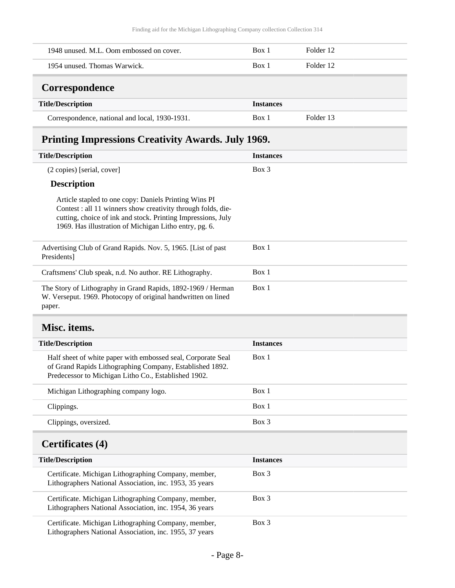<span id="page-7-0"></span>

| 1948 unused. M.L. Oom embossed on cover. | Box 1            | Folder 12 |
|------------------------------------------|------------------|-----------|
| 1954 unused. Thomas Warwick.             | Box 1            | Folder 12 |
| Correspondence                           |                  |           |
|                                          |                  |           |
| <b>Title/Description</b>                 | <b>Instances</b> |           |

## <span id="page-7-1"></span>**Printing Impressions Creativity Awards. July 1969.**

| <b>Title/Description</b>                                                                                                                                                                                                                        | <b>Instances</b> |
|-------------------------------------------------------------------------------------------------------------------------------------------------------------------------------------------------------------------------------------------------|------------------|
| $(2 \text{ copies})$ [serial, cover]                                                                                                                                                                                                            | Box 3            |
| <b>Description</b>                                                                                                                                                                                                                              |                  |
| Article stapled to one copy: Daniels Printing Wins PI<br>Contest : all 11 winners show creativity through folds, die-<br>cutting, choice of ink and stock. Printing Impressions, July<br>1969. Has illustration of Michigan Litho entry, pg. 6. |                  |
| Advertising Club of Grand Rapids. Nov. 5, 1965. [List of past]<br>Presidents]                                                                                                                                                                   | Box 1            |
| Craftsmens' Club speak, n.d. No author. RE Lithography.                                                                                                                                                                                         | Box 1            |
| The Story of Lithography in Grand Rapids, 1892-1969 / Herman<br>W. Verseput. 1969. Photocopy of original handwritten on lined<br>paper.                                                                                                         | Box 1            |

## <span id="page-7-2"></span>**Misc. items.**

| <b>Title/Description</b>                                                                                                                                                         | <b>Instances</b> |
|----------------------------------------------------------------------------------------------------------------------------------------------------------------------------------|------------------|
| Half sheet of white paper with embossed seal, Corporate Seal<br>of Grand Rapids Lithographing Company, Established 1892.<br>Predecessor to Michigan Litho Co., Established 1902. | Box 1            |
| Michigan Lithographing company logo.                                                                                                                                             | Box 1            |
| Clippings.                                                                                                                                                                       | Box 1            |
| Clippings, oversized.                                                                                                                                                            | $Box$ 3          |

## <span id="page-7-3"></span>**Certificates (4)**

| <b>Title/Description</b>                                                                                        | <b>Instances</b> |
|-----------------------------------------------------------------------------------------------------------------|------------------|
| Certificate. Michigan Lithographing Company, member,<br>Lithographers National Association, inc. 1953, 35 years | Box 3            |
| Certificate. Michigan Lithographing Company, member,<br>Lithographers National Association, inc. 1954, 36 years | Box 3            |
| Certificate. Michigan Lithographing Company, member,<br>Lithographers National Association, inc. 1955, 37 years | Box 3            |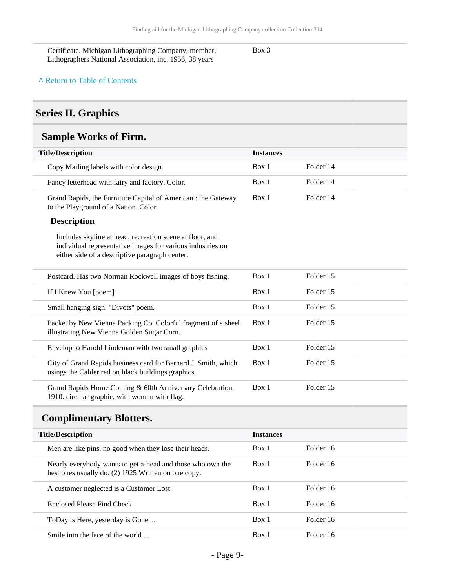Certificate. Michigan Lithographing Company, member, Lithographers National Association, inc. 1956, 38 years

Box 3

#### **^** [Return to Table of Contents](#page-1-0)

### <span id="page-8-0"></span>**Series II. Graphics**

## <span id="page-8-1"></span>**Sample Works of Firm.**

| <b>Title/Description</b>                                                                                                                                                 | <b>Instances</b> |           |
|--------------------------------------------------------------------------------------------------------------------------------------------------------------------------|------------------|-----------|
| Copy Mailing labels with color design.                                                                                                                                   | Box 1            | Folder 14 |
| Fancy letterhead with fairy and factory. Color.                                                                                                                          | Box 1            | Folder 14 |
| Grand Rapids, the Furniture Capital of American : the Gateway<br>to the Playground of a Nation. Color.                                                                   | Box 1            | Folder 14 |
| <b>Description</b>                                                                                                                                                       |                  |           |
| Includes skyline at head, recreation scene at floor, and<br>individual representative images for various industries on<br>either side of a descriptive paragraph center. |                  |           |
| Postcard. Has two Norman Rockwell images of boys fishing.                                                                                                                | Box 1            | Folder 15 |
| If I Knew You [poem]                                                                                                                                                     | Box 1            | Folder 15 |
| Small hanging sign. "Divots" poem.                                                                                                                                       | Box 1            | Folder 15 |
| Packet by New Vienna Packing Co. Colorful fragment of a sheel<br>illustrating New Vienna Golden Sugar Corn.                                                              | Box 1            | Folder 15 |
| Envelop to Harold Lindeman with two small graphics                                                                                                                       | Box 1            | Folder 15 |
| City of Grand Rapids business card for Bernard J. Smith, which<br>usings the Calder red on black buildings graphics.                                                     | Box 1            | Folder 15 |
| Grand Rapids Home Coming & 60th Anniversary Celebration,<br>1910. circular graphic, with woman with flag.                                                                | Box 1            | Folder 15 |

## <span id="page-8-2"></span>**Complimentary Blotters.**

| <b>Title/Description</b>                                                                                          | <b>Instances</b> |           |  |
|-------------------------------------------------------------------------------------------------------------------|------------------|-----------|--|
| Men are like pins, no good when they lose their heads.                                                            | Box 1            | Folder 16 |  |
| Nearly everybody wants to get a-head and those who own the<br>best ones usually do. (2) 1925 Written on one copy. | Box 1            | Folder 16 |  |
| A customer neglected is a Customer Lost                                                                           | Box 1            | Folder 16 |  |
| Enclosed Please Find Check                                                                                        | Box 1            | Folder 16 |  |
| ToDay is Here, yesterday is Gone                                                                                  | Box 1            | Folder 16 |  |
| Smile into the face of the world                                                                                  | Box 1            | Folder 16 |  |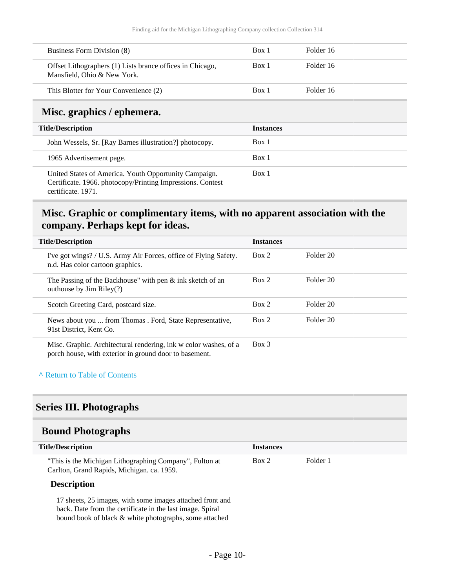| Business Form Division (8)                                                               | Box 1            | Folder 16 |
|------------------------------------------------------------------------------------------|------------------|-----------|
| Offset Lithographers (1) Lists brance offices in Chicago,<br>Mansfield, Ohio & New York. | Box 1            | Folder 16 |
| This Blotter for Your Convenience (2)                                                    | Box 1            | Folder 16 |
|                                                                                          |                  |           |
| Misc. graphics / ephemera.                                                               |                  |           |
| <b>Title/Description</b>                                                                 | <b>Instances</b> |           |
| John Wessels, Sr. [Ray Barnes illustration?] photocopy.                                  | Box 1            |           |

Box 1

<span id="page-9-0"></span>United States of America. Youth Opportunity Campaign. Certificate. 1966. photocopy/Printing Impressions. Contest certificate. 1971.

### <span id="page-9-1"></span>**Misc. Graphic or complimentary items, with no apparent association with the company. Perhaps kept for ideas.**

| <b>Title/Description</b>                                                                                                   | <b>Instances</b> |           |
|----------------------------------------------------------------------------------------------------------------------------|------------------|-----------|
| I've got wings? / U.S. Army Air Forces, office of Flying Safety.<br>n.d. Has color cartoon graphics.                       | Box 2            | Folder 20 |
| The Passing of the Backhouse" with pen $\&$ ink sketch of an<br>outhouse by Jim Riley(?)                                   | Box 2            | Folder 20 |
| Scotch Greeting Card, postcard size.                                                                                       | Box 2            | Folder 20 |
| News about you  from Thomas . Ford, State Representative,<br>91st District, Kent Co.                                       | Box 2            | Folder 20 |
| Misc. Graphic. Architectural rendering, ink w color washes, of a<br>porch house, with exterior in ground door to basement. | $Box$ 3          |           |

#### **^** [Return to Table of Contents](#page-1-0)

### <span id="page-9-2"></span>**Series III. Photographs**

### <span id="page-9-3"></span>**Bound Photographs**

| <b>Title/Description</b>                                | <b>Instances</b> |          |
|---------------------------------------------------------|------------------|----------|
| "This is the Michigan Lithographing Company", Fulton at | Box 2            | Folder 1 |
| Carlton, Grand Rapids, Michigan. ca. 1959.              |                  |          |

#### **Description**

17 sheets, 25 images, with some images attached front and back. Date from the certificate in the last image. Spiral bound book of black & white photographs, some attached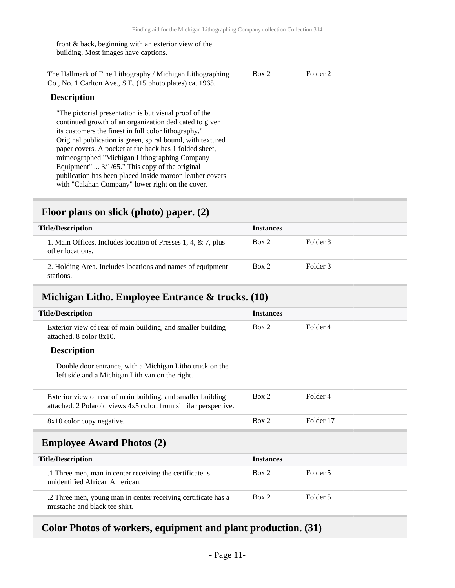front & back, beginning with an exterior view of the building. Most images have captions.

| The Hallmark of Fine Lithography / Michigan Lithographing | Box 2 | Folder 2 |
|-----------------------------------------------------------|-------|----------|
| Co., No. 1 Carlton Ave., S.E. (15 photo plates) ca. 1965. |       |          |

#### **Description**

"The pictorial presentation is but visual proof of the continued growth of an organization dedicated to given its customers the finest in full color lithography." Original publication is green, spiral bound, with textured paper covers. A pocket at the back has 1 folded sheet, mimeographed "Michigan Lithographing Company Equipment" ... 3/1/65." This copy of the original publication has been placed inside maroon leather covers with "Calahan Company" lower right on the cover.

### <span id="page-10-0"></span>**Floor plans on slick (photo) paper. (2)**

| <b>Title/Description</b>                                                          | <b>Instances</b> |          |
|-----------------------------------------------------------------------------------|------------------|----------|
| 1. Main Offices. Includes location of Presses 1, 4, & 7, plus<br>other locations. | Box 2            | Folder 3 |
| 2. Holding Area. Includes locations and names of equipment<br>stations.           | Box 2            | Folder 3 |

### <span id="page-10-1"></span>**Michigan Litho. Employee Entrance & trucks. (10)**

| <b>Title/Description</b>                                                                                                        | <b>Instances</b> |           |
|---------------------------------------------------------------------------------------------------------------------------------|------------------|-----------|
| Exterior view of rear of main building, and smaller building<br>attached. 8 color 8x10.                                         | Box 2            | Folder 4  |
| <b>Description</b>                                                                                                              |                  |           |
| Double door entrance, with a Michigan Litho truck on the<br>left side and a Michigan Lith van on the right.                     |                  |           |
| Exterior view of rear of main building, and smaller building<br>attached. 2 Polaroid views 4x5 color, from similar perspective. | Box 2            | Folder 4  |
| 8x10 color copy negative.                                                                                                       | Box 2            | Folder 17 |
| <b>Employee Award Photos (2)</b>                                                                                                |                  |           |
| <b>Title/Description</b>                                                                                                        | <b>Instances</b> |           |
| .1 Three men, man in center receiving the certificate is<br>unidentified African American.                                      | Box 2            | Folder 5  |
| .2 Three men, young man in center receiving certificate has a<br>mustache and black tee shirt.                                  | Box 2            | Folder 5  |

### <span id="page-10-3"></span><span id="page-10-2"></span>**Color Photos of workers, equipment and plant production. (31)**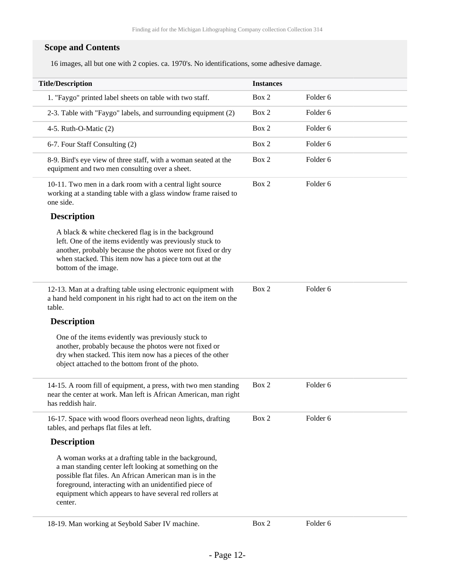### **Scope and Contents**

16 images, all but one with 2 copies. ca. 1970's. No identifications, some adhesive damage.

| <b>Title/Description</b>                                                                                                                                                                                                                                                                               | <b>Instances</b> |                     |
|--------------------------------------------------------------------------------------------------------------------------------------------------------------------------------------------------------------------------------------------------------------------------------------------------------|------------------|---------------------|
| 1. "Faygo" printed label sheets on table with two staff.                                                                                                                                                                                                                                               | Box 2            | Folder 6            |
| 2-3. Table with "Faygo" labels, and surrounding equipment (2)                                                                                                                                                                                                                                          | Box 2            | Folder <sub>6</sub> |
| 4-5. Ruth-O-Matic $(2)$                                                                                                                                                                                                                                                                                | Box 2            | Folder <sub>6</sub> |
| 6-7. Four Staff Consulting (2)                                                                                                                                                                                                                                                                         | Box 2            | Folder <sub>6</sub> |
| 8-9. Bird's eye view of three staff, with a woman seated at the<br>equipment and two men consulting over a sheet.                                                                                                                                                                                      | Box 2            | Folder 6            |
| 10-11. Two men in a dark room with a central light source<br>working at a standing table with a glass window frame raised to<br>one side.                                                                                                                                                              | Box 2            | Folder <sub>6</sub> |
| <b>Description</b>                                                                                                                                                                                                                                                                                     |                  |                     |
| A black & white checkered flag is in the background<br>left. One of the items evidently was previously stuck to<br>another, probably because the photos were not fixed or dry<br>when stacked. This item now has a piece torn out at the<br>bottom of the image.                                       |                  |                     |
| 12-13. Man at a drafting table using electronic equipment with<br>a hand held component in his right had to act on the item on the<br>table.                                                                                                                                                           | Box 2            | Folder 6            |
| <b>Description</b>                                                                                                                                                                                                                                                                                     |                  |                     |
| One of the items evidently was previously stuck to<br>another, probably because the photos were not fixed or<br>dry when stacked. This item now has a pieces of the other<br>object attached to the bottom front of the photo.                                                                         |                  |                     |
| 14-15. A room fill of equipment, a press, with two men standing<br>near the center at work. Man left is African American, man right<br>has reddish hair.                                                                                                                                               | Box 2            | Folder 6            |
| 16-17. Space with wood floors overhead neon lights, drafting<br>tables, and perhaps flat files at left.                                                                                                                                                                                                | Box 2            | Folder <sub>6</sub> |
| <b>Description</b>                                                                                                                                                                                                                                                                                     |                  |                     |
| A woman works at a drafting table in the background,<br>a man standing center left looking at something on the<br>possible flat files. An African American man is in the<br>foreground, interacting with an unidentified piece of<br>equipment which appears to have several red rollers at<br>center. |                  |                     |
|                                                                                                                                                                                                                                                                                                        |                  |                     |

18-19. Man working at Seybold Saber IV machine. Box 2 Folder 6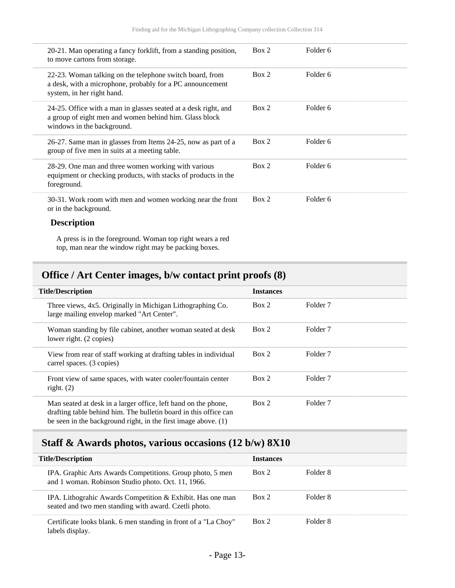| 20-21. Man operating a fancy forklift, from a standing position,<br>to move cartons from storage.                                                       | Box 2 | Folder 6 |
|---------------------------------------------------------------------------------------------------------------------------------------------------------|-------|----------|
| 22-23. Woman talking on the telephone switch board, from<br>a desk, with a microphone, probably for a PC announcement<br>system, in her right hand.     | Box 2 | Folder 6 |
| 24-25. Office with a man in glasses seated at a desk right, and<br>a group of eight men and women behind him. Glass block<br>windows in the background. | Box 2 | Folder 6 |
| 26-27. Same man in glasses from Items 24-25, now as part of a<br>group of five men in suits at a meeting table.                                         | Box 2 | Folder 6 |
| 28-29. One man and three women working with various<br>equipment or checking products, with stacks of products in the<br>foreground.                    | Box 2 | Folder 6 |
| 30-31. Work room with men and women working near the front<br>or in the background.                                                                     | Box 2 | Folder 6 |
| <b>Description</b>                                                                                                                                      |       |          |

A press is in the foreground. Woman top right wears a red top, man near the window right may be packing boxes.

## <span id="page-12-0"></span>**Office / Art Center images, b/w contact print proofs (8)**

| <b>Title/Description</b> |                                                                                                                                                                                                        | <b>Instances</b> |                     |
|--------------------------|--------------------------------------------------------------------------------------------------------------------------------------------------------------------------------------------------------|------------------|---------------------|
|                          | Three views, 4x5. Originally in Michigan Lithographing Co.<br>large mailing envelop marked "Art Center".                                                                                               | Box 2            | Folder <sub>7</sub> |
|                          | Woman standing by file cabinet, another woman seated at desk<br>lower right. (2 copies)                                                                                                                | Box 2            | Folder <sub>7</sub> |
|                          | View from rear of staff working at drafting tables in individual<br>carrel spaces. (3 copies)                                                                                                          | Box 2            | Folder <sub>7</sub> |
|                          | Front view of same spaces, with water cooler/fountain center<br>right. $(2)$                                                                                                                           | Box 2            | Folder <sub>7</sub> |
|                          | Man seated at desk in a larger office, left hand on the phone,<br>drafting table behind him. The bulletin board in this office can<br>be seen in the background right, in the first image above. $(1)$ | Box 2            | Folder <sub>7</sub> |

## <span id="page-12-1"></span>**Staff & Awards photos, various occasions (12 b/w) 8X10**

| <b>Title/Description</b>                                                                                            | <b>Instances</b> |          |
|---------------------------------------------------------------------------------------------------------------------|------------------|----------|
| IPA. Graphic Arts Awards Competitions. Group photo, 5 men<br>and 1 woman. Robinson Studio photo. Oct. 11, 1966.     | Box 2            | Folder 8 |
| IPA. Lithograhic Awards Competition & Exhibit. Has one man<br>seated and two men standing with award. Czetli photo. | Box 2            | Folder 8 |
| Certificate looks blank. 6 men standing in front of a "La Choy"<br>labels display.                                  | Box 2            | Folder 8 |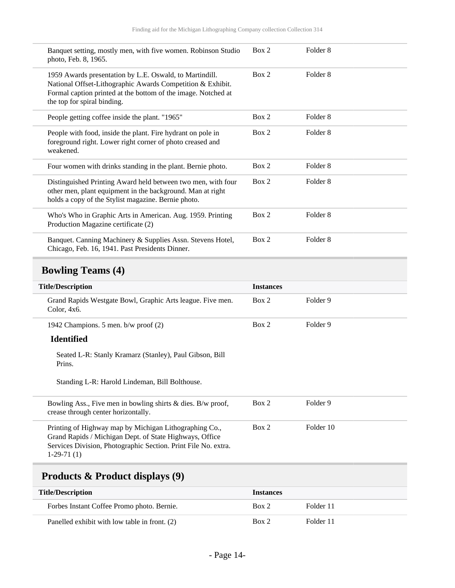<span id="page-13-0"></span>

| Banquet setting, mostly men, with five women. Robinson Studio<br>photo, Feb. 8, 1965.                                                                                                                                 | Box 2            | Folder <sub>8</sub> |  |
|-----------------------------------------------------------------------------------------------------------------------------------------------------------------------------------------------------------------------|------------------|---------------------|--|
| 1959 Awards presentation by L.E. Oswald, to Martindill.<br>National Offset-Lithographic Awards Competition & Exhibit.<br>Formal caption printed at the bottom of the image. Notched at<br>the top for spiral binding. | Box 2            | Folder <sub>8</sub> |  |
| People getting coffee inside the plant. "1965"                                                                                                                                                                        | Box 2            | Folder <sub>8</sub> |  |
| People with food, inside the plant. Fire hydrant on pole in<br>foreground right. Lower right corner of photo creased and<br>weakened.                                                                                 | Box 2            | Folder <sub>8</sub> |  |
| Four women with drinks standing in the plant. Bernie photo.                                                                                                                                                           | Box 2            | Folder <sub>8</sub> |  |
| Distinguished Printing Award held between two men, with four<br>other men, plant equipment in the background. Man at right<br>holds a copy of the Stylist magazine. Bernie photo.                                     | Box 2            | Folder <sub>8</sub> |  |
| Who's Who in Graphic Arts in American. Aug. 1959. Printing<br>Production Magazine certificate (2)                                                                                                                     | Box 2            | Folder <sub>8</sub> |  |
| Banquet. Canning Machinery & Supplies Assn. Stevens Hotel,<br>Chicago, Feb. 16, 1941. Past Presidents Dinner.                                                                                                         | Box 2            | Folder <sub>8</sub> |  |
|                                                                                                                                                                                                                       |                  |                     |  |
| <b>Bowling Teams (4)</b>                                                                                                                                                                                              |                  |                     |  |
| <b>Title/Description</b>                                                                                                                                                                                              | <b>Instances</b> |                     |  |
| Grand Rapids Westgate Bowl, Graphic Arts league. Five men.<br>Color, 4x6.                                                                                                                                             | Box 2            | Folder 9            |  |
| 1942 Champions. 5 men. b/w proof (2)                                                                                                                                                                                  | Box 2            | Folder 9            |  |
| <b>Identified</b>                                                                                                                                                                                                     |                  |                     |  |
| Seated L-R: Stanly Kramarz (Stanley), Paul Gibson, Bill<br>Prins.                                                                                                                                                     |                  |                     |  |
| Standing L-R: Harold Lindeman, Bill Bolthouse.                                                                                                                                                                        |                  |                     |  |
| Bowling Ass., Five men in bowling shirts $&$ dies. B/w proof,<br>crease through center horizontally.                                                                                                                  | Box 2            | Folder 9            |  |
| Printing of Highway map by Michigan Lithographing Co.,<br>Grand Rapids / Michigan Dept. of State Highways, Office<br>Services Division, Photographic Section. Print File No. extra.<br>$1-29-71(1)$                   | Box 2            | Folder 10           |  |
| Products & Product displays (9)                                                                                                                                                                                       |                  |                     |  |

<span id="page-13-1"></span>

| THE DESCRIPTION                               | THSTATICES |           |
|-----------------------------------------------|------------|-----------|
| Forbes Instant Coffee Promo photo. Bernie.    | Box 2      | Folder 11 |
| Panelled exhibit with low table in front. (2) | Box 2      | Folder 11 |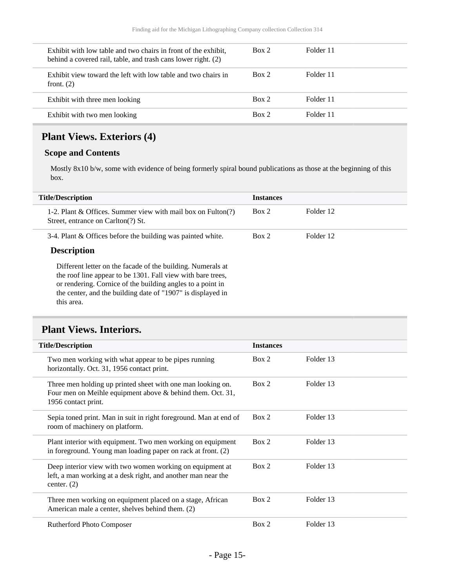| Exhibit with low table and two chairs in front of the exhibit,<br>behind a covered rail, table, and trash cans lower right. (2) | Box 2 | Folder 11 |  |
|---------------------------------------------------------------------------------------------------------------------------------|-------|-----------|--|
| Exhibit view toward the left with low table and two chairs in<br>front. $(2)$                                                   | Box 2 | Folder 11 |  |
| Exhibit with three men looking                                                                                                  | Box 2 | Folder 11 |  |
| Exhibit with two men looking                                                                                                    | Box 2 | Folder 11 |  |

## <span id="page-14-0"></span>**Plant Views. Exteriors (4)**

### **Scope and Contents**

Mostly 8x10 b/w, some with evidence of being formerly spiral bound publications as those at the beginning of this box.

| <b>Title/Description</b>                                                                                                                                                                                                                                              | <b>Instances</b> |           |
|-----------------------------------------------------------------------------------------------------------------------------------------------------------------------------------------------------------------------------------------------------------------------|------------------|-----------|
| 1-2. Plant $\&$ Offices. Summer view with mail box on Fulton(?)<br>Street, entrance on Carlton(?) St.                                                                                                                                                                 | Box 2            | Folder 12 |
| 3-4. Plant & Offices before the building was painted white.                                                                                                                                                                                                           | Box 2            | Folder 12 |
| <b>Description</b>                                                                                                                                                                                                                                                    |                  |           |
| Different letter on the facade of the building. Numerals at<br>the roof line appear to be 1301. Fall view with bare trees,<br>or rendering. Cornice of the building angles to a point in<br>the center, and the building date of "1907" is displayed in<br>this area. |                  |           |

## <span id="page-14-1"></span>**Plant Views. Interiors.**

| <b>Title/Description</b>                                                                                                                         | <b>Instances</b> |           |
|--------------------------------------------------------------------------------------------------------------------------------------------------|------------------|-----------|
| Two men working with what appear to be pipes running<br>horizontally. Oct. 31, 1956 contact print.                                               | Box 2            | Folder 13 |
| Three men holding up printed sheet with one man looking on.<br>Four men on Meihle equipment above & behind them. Oct. 31,<br>1956 contact print. | Box 2            | Folder 13 |
| Sepia toned print. Man in suit in right foreground. Man at end of<br>room of machinery on platform.                                              | Box 2            | Folder 13 |
| Plant interior with equipment. Two men working on equipment<br>in foreground. Young man loading paper on rack at front. (2)                      | Box 2            | Folder 13 |
| Deep interior view with two women working on equipment at<br>left, a man working at a desk right, and another man near the<br>center. $(2)$      | Box 2            | Folder 13 |
| Three men working on equipment placed on a stage, African<br>American male a center, shelves behind them. (2)                                    | Box 2            | Folder 13 |
| <b>Rutherford Photo Composer</b>                                                                                                                 | Box 2            | Folder 13 |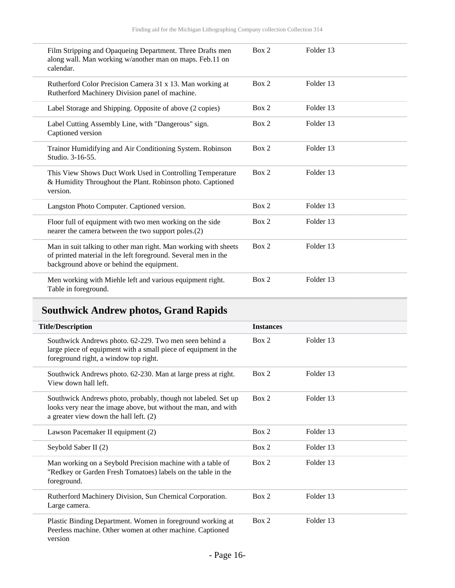| Film Stripping and Opaqueing Department. Three Drafts men<br>along wall. Man working w/another man on maps. Feb.11 on<br>calendar.                                             | Box 2 | Folder 13 |  |
|--------------------------------------------------------------------------------------------------------------------------------------------------------------------------------|-------|-----------|--|
| Rutherford Color Precision Camera 31 x 13. Man working at<br>Rutherford Machinery Division panel of machine.                                                                   | Box 2 | Folder 13 |  |
| Label Storage and Shipping. Opposite of above (2 copies)                                                                                                                       | Box 2 | Folder 13 |  |
| Label Cutting Assembly Line, with "Dangerous" sign.<br>Captioned version                                                                                                       | Box 2 | Folder 13 |  |
| Trainor Humidifying and Air Conditioning System. Robinson<br>Studio. 3-16-55.                                                                                                  | Box 2 | Folder 13 |  |
| This View Shows Duct Work Used in Controlling Temperature<br>& Humidity Throughout the Plant. Robinson photo. Captioned<br>version.                                            | Box 2 | Folder 13 |  |
| Langston Photo Computer. Captioned version.                                                                                                                                    | Box 2 | Folder 13 |  |
| Floor full of equipment with two men working on the side<br>nearer the camera between the two support poles.(2)                                                                | Box 2 | Folder 13 |  |
| Man in suit talking to other man right. Man working with sheets<br>of printed material in the left foreground. Several men in the<br>background above or behind the equipment. | Box 2 | Folder 13 |  |
| Men working with Miehle left and various equipment right.<br>Table in foreground.                                                                                              | Box 2 | Folder 13 |  |

## <span id="page-15-0"></span>**Southwick Andrew photos, Grand Rapids**

| <b>Title/Description</b> |                                                                                                                                                                           | <b>Instances</b> |           |
|--------------------------|---------------------------------------------------------------------------------------------------------------------------------------------------------------------------|------------------|-----------|
|                          | Southwick Andrews photo. 62-229. Two men seen behind a<br>large piece of equipment with a small piece of equipment in the<br>foreground right, a window top right.        | Box 2            | Folder 13 |
|                          | Southwick Andrews photo. 62-230. Man at large press at right.<br>View down hall left.                                                                                     | Box 2            | Folder 13 |
|                          | Southwick Andrews photo, probably, though not labeled. Set up<br>looks very near the image above, but without the man, and with<br>a greater view down the hall left. (2) | Box 2            | Folder 13 |
|                          | Lawson Pacemaker II equipment (2)                                                                                                                                         | Box 2            | Folder 13 |
|                          | Seybold Saber II (2)                                                                                                                                                      | Box 2            | Folder 13 |
|                          | Man working on a Seybold Precision machine with a table of<br>"Redkey or Garden Fresh Tomatoes) labels on the table in the<br>foreground.                                 | Box 2            | Folder 13 |
|                          | Rutherford Machinery Division, Sun Chemical Corporation.<br>Large camera.                                                                                                 | Box 2            | Folder 13 |
|                          | Plastic Binding Department. Women in foreground working at<br>Peerless machine. Other women at other machine. Captioned<br>version                                        | Box 2            | Folder 13 |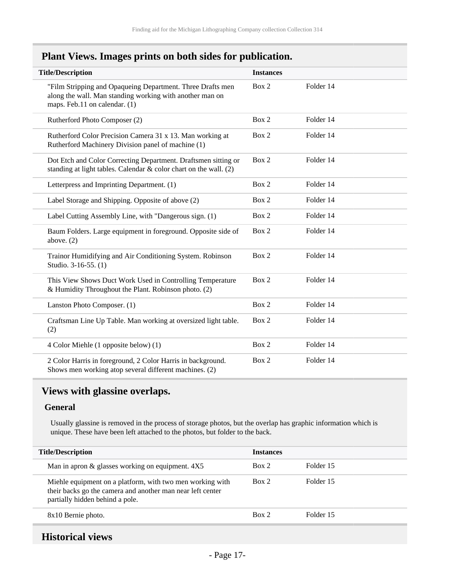### <span id="page-16-0"></span>**Plant Views. Images prints on both sides for publication.**

| <b>Title/Description</b>                                                                                                                                | <b>Instances</b> |           |  |
|---------------------------------------------------------------------------------------------------------------------------------------------------------|------------------|-----------|--|
| "Film Stripping and Opaqueing Department. Three Drafts men<br>along the wall. Man standing working with another man on<br>maps. Feb.11 on calendar. (1) | Box 2            | Folder 14 |  |
| Rutherford Photo Composer (2)                                                                                                                           | Box 2            | Folder 14 |  |
| Rutherford Color Precision Camera 31 x 13. Man working at<br>Rutherford Machinery Division panel of machine (1)                                         | Box 2            | Folder 14 |  |
| Dot Etch and Color Correcting Department. Draftsmen sitting or<br>standing at light tables. Calendar & color chart on the wall. (2)                     | Box 2            | Folder 14 |  |
| Letterpress and Imprinting Department. (1)                                                                                                              | Box 2            | Folder 14 |  |
| Label Storage and Shipping. Opposite of above (2)                                                                                                       | Box 2            | Folder 14 |  |
| Label Cutting Assembly Line, with "Dangerous sign. (1)                                                                                                  | Box 2            | Folder 14 |  |
| Baum Folders. Large equipment in foreground. Opposite side of<br>above. $(2)$                                                                           | Box 2            | Folder 14 |  |
| Trainor Humidifying and Air Conditioning System. Robinson<br>Studio. 3-16-55. (1)                                                                       | Box 2            | Folder 14 |  |
| This View Shows Duct Work Used in Controlling Temperature<br>& Humidity Throughout the Plant. Robinson photo. (2)                                       | Box 2            | Folder 14 |  |
| Lanston Photo Composer. (1)                                                                                                                             | Box 2            | Folder 14 |  |
| Craftsman Line Up Table. Man working at oversized light table.<br>(2)                                                                                   | Box 2            | Folder 14 |  |
| 4 Color Miehle (1 opposite below) (1)                                                                                                                   | Box 2            | Folder 14 |  |
| 2 Color Harris in foreground, 2 Color Harris in background.<br>Shows men working atop several different machines. (2)                                   | Box 2            | Folder 14 |  |

### <span id="page-16-1"></span>**Views with glassine overlaps.**

#### **General**

Usually glassine is removed in the process of storage photos, but the overlap has graphic information which is unique. These have been left attached to the photos, but folder to the back.

| <b>Title/Description</b>                                                                                                                                   | <b>Instances</b> |           |  |
|------------------------------------------------------------------------------------------------------------------------------------------------------------|------------------|-----------|--|
| Man in apron $\&$ glasses working on equipment. $4X5$                                                                                                      | Box 2            | Folder 15 |  |
| Miehle equipment on a platform, with two men working with<br>their backs go the camera and another man near left center<br>partially hidden behind a pole. | Box 2            | Folder 15 |  |
| 8x10 Bernie photo.                                                                                                                                         | Box 2            | Folder 15 |  |

### <span id="page-16-2"></span>**Historical views**